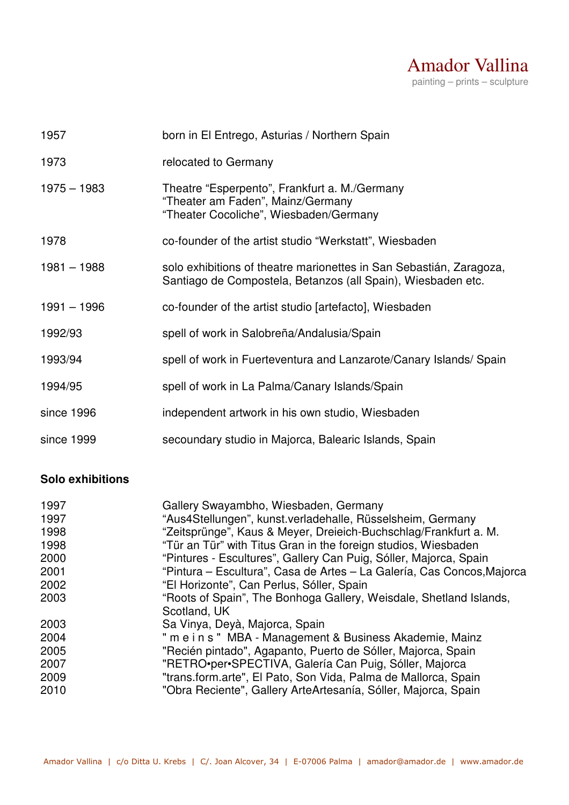

| 1957          | born in El Entrego, Asturias / Northern Spain                                                                                       |
|---------------|-------------------------------------------------------------------------------------------------------------------------------------|
| 1973          | relocated to Germany                                                                                                                |
| $1975 - 1983$ | Theatre "Esperpento", Frankfurt a. M./Germany<br>"Theater am Faden", Mainz/Germany<br>"Theater Cocoliche", Wiesbaden/Germany        |
| 1978          | co-founder of the artist studio "Werkstatt", Wiesbaden                                                                              |
| $1981 - 1988$ | solo exhibitions of theatre marionettes in San Sebastián, Zaragoza,<br>Santiago de Compostela, Betanzos (all Spain), Wiesbaden etc. |
| $1991 - 1996$ | co-founder of the artist studio [artefacto], Wiesbaden                                                                              |
| 1992/93       | spell of work in Salobreña/Andalusia/Spain                                                                                          |
| 1993/94       | spell of work in Fuerteventura and Lanzarote/Canary Islands/ Spain                                                                  |
| 1994/95       | spell of work in La Palma/Canary Islands/Spain                                                                                      |
| since 1996    | independent artwork in his own studio, Wiesbaden                                                                                    |
| since 1999    | secoundary studio in Majorca, Balearic Islands, Spain                                                                               |

## **Solo exhibitions**

| 1997 | Gallery Swayambho, Wiesbaden, Germany                                              |
|------|------------------------------------------------------------------------------------|
| 1997 | "Aus4Stellungen", kunst.verladehalle, Rüsselsheim, Germany                         |
| 1998 | "Zeitsprünge", Kaus & Meyer, Dreieich-Buchschlag/Frankfurt a. M.                   |
| 1998 | "Tür an Tür" with Titus Gran in the foreign studios, Wiesbaden                     |
| 2000 | "Pintures - Escultures", Gallery Can Puig, Sóller, Majorca, Spain                  |
| 2001 | "Pintura – Escultura", Casa de Artes – La Galería, Cas Concos, Majorca             |
| 2002 | "El Horizonte", Can Perlus, Sóller, Spain                                          |
| 2003 | "Roots of Spain", The Bonhoga Gallery, Weisdale, Shetland Islands,<br>Scotland, UK |
| 2003 | Sa Vinya, Deyà, Majorca, Spain                                                     |
| 2004 | " m e i n s " MBA - Management & Business Akademie, Mainz                          |
| 2005 | "Recién pintado", Agapanto, Puerto de Sóller, Majorca, Spain                       |
| 2007 | "RETRO•per•SPECTIVA, Galería Can Puig, Sóller, Majorca                             |
| 2009 | "trans.form.arte", El Pato, Son Vida, Palma de Mallorca, Spain                     |
| 2010 | "Obra Reciente", Gallery ArteArtesanía, Sóller, Majorca, Spain                     |